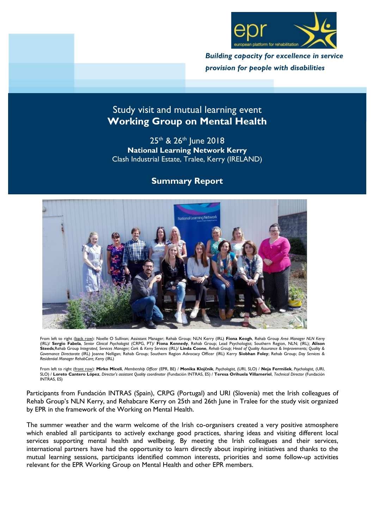

*Building capacity for excellence in service provision for people with disabilities*

# Study visit and mutual learning event **Working Group on Mental Health**

25<sup>th</sup> & 26<sup>th</sup> June 2018 **National Learning Network Kerry** Clash Industrial Estate, Tralee, Kerry (IRELAND)

## **Summary Report**



From left to right (back row): Noelle O Sullivan; Assistant Manager; Rehab Group; NLN Kerry (IRL) **Fiona Keogh**, Rehab Group *Area Manager NLN Kerry* (IRL)/ **Sergio Fabela**, *Senior Clinical Psychologist* (CRPG, PT)/ **Fiona Kennedy**, Rehab Group; Lead Psychologist; Southern Region, NLN; (IRL)*;* **Alison Steeds**,Rehab Group *Integrated, Services Manager; Cork & Kerry Services* (IRL)/ **Linda Coone**, *Rehab Group; Head of Quality Assurance & Improvements; Quality & Governance Directorate* (IRL) Joanne Nelligan; Rehab Group; Southern Region Advocacy Officer (IRL) Kerry **Siobhan Foley**; Rehab Group; *Day Services & Residential Manager RehabCare; Kerry* (IRL)

From left to right (front row): **Mirko Miceli**, *Membership Officer* (EPR, BE) / **Monika Klojčnik**, *Psychologist,* (URI, SLO) / **Neja Fermišek**, *Psychologist,* (URI, SLO) / **Loreto Cantero López**, *Director's assistant Quality coordinator* (Fundación INTRAS, ES) / **Teresa Orihuela Villameriel**, *Technical Director* (Fundación INTRAS, ES)

Participants from Fundación INTRAS (Spain), CRPG (Portugal) and URI (Slovenia) met the Irish colleagues of Rehab Group's NLN Kerry, and Rehabcare Kerry on 25th and 26th June in Tralee for the study visit organized by EPR in the framework of the Working on Mental Health.

The summer weather and the warm welcome of the Irish co-organisers created a very positive atmosphere which enabled all participants to actively exchange good practices, sharing ideas and visiting different local services supporting mental health and wellbeing. By meeting the Irish colleagues and their services, international partners have had the opportunity to learn directly about inspiring initiatives and thanks to the mutual learning sessions, participants identified common interests, priorities and some follow-up activities relevant for the EPR Working Group on Mental Health and other EPR members.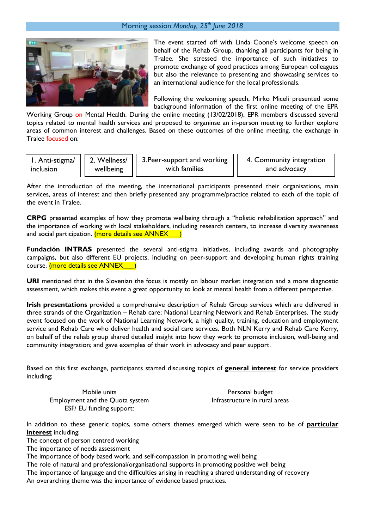#### Morning session *Monday, 25th June 2018*



The event started off with Linda Coone's welcome speech on behalf of the Rehab Group, thanking all participants for being in Tralee. She stressed the importance of such initiatives to promote exchange of good practices among European colleagues but also the relevance to presenting and showcasing services to an international audience for the local professionals.

Following the welcoming speech, Mirko Miceli presented some background information of the first online meeting of the EPR

Working Group on Mental Health. During the online meeting (13/02/2018), EPR members discussed several topics related to mental health services and proposed to organinse an in-person meeting to further explore areas of common interest and challenges. Based on these outcomes of the online meeting, the exchange in Tralee focused on:

| 1. Anti-stigma/ | wellbeing | 2. Wellness/   3. Peer-support and working | 4. Community integration |
|-----------------|-----------|--------------------------------------------|--------------------------|
| inclusion       |           | with families                              | and advocacy             |
|                 |           |                                            |                          |

After the introduction of the meeting, the international participants presented their organisations, main services, areas of interest and then briefly presented any programme/practice related to each of the topic of the event in Tralee.

**CRPG** presented examples of how they promote wellbeing through a "holistic rehabilitation approach" and the importance of working with local stakeholders, including research centers, to increase diversity awareness and social participation. (more details see ANNEX<sup>1</sup>)

**Fundación INTRAS** presented the several anti-stigma initiatives, including awards and photography campaigns, but also different EU projects, including on peer-support and developing human rights training course. (more details see ANNEX<sup>1</sup>)

**URI** mentioned that in the Slovenian the focus is mostly on labour market integration and a more diagnostic assessment, which makes this event a great opportunity to look at mental health from a different perspective.

**Irish presentations** provided a comprehensive description of Rehab Group services which are delivered in three strands of the Organization – Rehab care; National Learning Network and Rehab Enterprises. The study event focused on the work of National Learning Network, a high quality, training, education and employment service and Rehab Care who deliver health and social care services. Both NLN Kerry and Rehab Care Kerry, on behalf of the rehab group shared detailed insight into how they work to promote inclusion, well-being and community integration; and gave examples of their work in advocacy and peer support.

Based on this first exchange, participants started discussing topics of **general interest** for service providers including;

Mobile units Employment and the Quota system ESF/ EU funding support:

Personal budget Infrastructure in rural areas

In addition to these generic topics, some others themes emerged which were seen to be of **particular interest** including;

The concept of person centred working

The importance of needs assessment

The importance of body based work, and self-compassion in promoting well being

The role of natural and professional/organisational supports in promoting positive well being

The importance of language and the difficulties arising in reaching a shared understanding of recovery

An overarching theme was the importance of evidence based practices.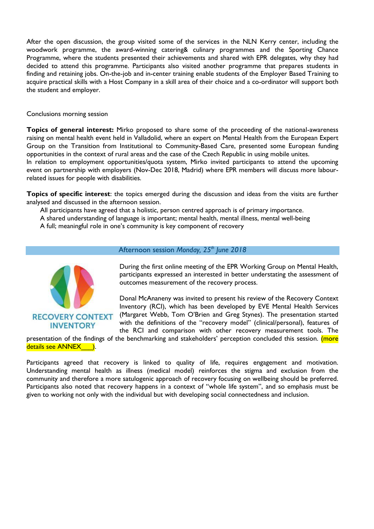After the open discussion, the group visited some of the services in the NLN Kerry center, including the woodwork programme, the award-winning catering& culinary programmes and the Sporting Chance Programme, where the students presented their achievements and shared with EPR delegates, why they had decided to attend this programme. Participants also visited another programme that prepares students in finding and retaining jobs. On-the-job and in-center training enable students of the Employer Based Training to acquire practical skills with a Host Company in a skill area of their choice and a co-ordinator will support both the student and employer.

Conclusions morning session

**Topics of general interest:** Mirko proposed to share some of the proceeding of the national-awareness raising on mental health event held in Valladolid, where an expert on Mental Health from the European Expert Group on the Transition from Institutional to Community-Based Care, presented some European funding opportunities in the context of rural areas and the case of the Czech Republic in using mobile unites. In relation to employment opportunities/quota system, Mirko invited participants to attend the upcoming

event on partnership with employers (Nov-Dec 2018, Madrid) where EPR members will discuss more labourrelated issues for people with disabilities.

**Topics of specific interest**: the topics emerged during the discussion and ideas from the visits are further analysed and discussed in the afternoon session.

All participants have agreed that a holistic, person centred approach is of primary importance.

A shared understanding of language is important; mental health, mental illness, mental well-being

A full; meaningful role in one's community is key component of recovery



### Afternoon session *Monday, 25th June 2018*

During the first online meeting of the EPR Working Group on Mental Health, participants expressed an interested in better understating the assessment of outcomes measurement of the recovery process.

Donal McAnaneny was invited to present his review of the Recovery Context Inventory (RCI), which has been developed by EVE Mental Health Services (Margaret Webb, Tom O'Brien and Greg Stynes). The presentation started with the definitions of the "recovery model" (clinical/personal), features of the RCI and comparison with other recovery measurement tools. The

presentation of the findings of the benchmarking and stakeholders' perception concluded this session. (more details see ANNEX ).

Participants agreed that recovery is linked to quality of life, requires engagement and motivation. Understanding mental health as illness (medical model) reinforces the stigma and exclusion from the community and therefore a more satulogenic approach of recovery focusing on wellbeing should be preferred. Participants also noted that recovery happens in a context of "whole life system", and so emphasis must be given to working not only with the individual but with developing social connectedness and inclusion.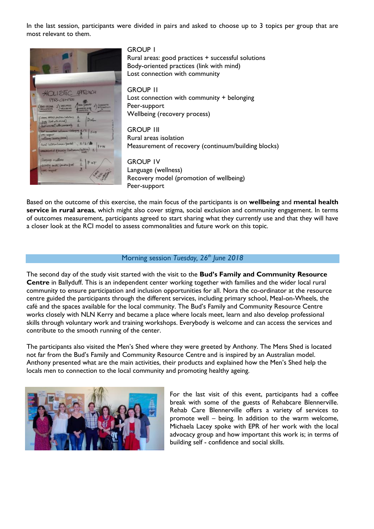In the last session, participants were divided in pairs and asked to choose up to 3 topics per group that are most relevant to them.



GROUP 1 Rural areas: good practices + successful solutions Body-oriented practices (link with mind) Lost connection with community

GROUP 1I Lost connection with community + belonging Peer-support Wellbeing (recovery process)

GROUP 1II Rural areas isolation Measurement of recovery (continuum/building blocks)

GROUP 1V Language (wellness) Recovery model (promotion of wellbeing) Peer-support

Based on the outcome of this exercise, the main focus of the participants is on **wellbeing** and **mental health service in rural areas**, which might also cover stigma, social exclusion and community engagement. In terms of outcomes measurement, participants agreed to start sharing what they currently use and that they will have a closer look at the RCI model to assess commonalities and future work on this topic.

#### Morning session *Tuesday, 26th June 2018*

The second day of the study visit started with the visit to the **Bud's Family and Community Resource Centre** in Ballyduff. This is an independent center working together with families and the wider local rural community to ensure participation and inclusion opportunities for all. Nora the co-ordinator at the resource centre guided the participants through the different services, including primary school, Meal-on-Wheels, the café and the spaces available for the local community. The Bud's Family and Community Resource Centre works closely with NLN Kerry and became a place where locals meet, learn and also develop professional skills through voluntary work and training workshops. Everybody is welcome and can access the services and contribute to the smooth running of the center.

The participants also visited the Men's Shed where they were greeted by Anthony. The Mens Shed is located not far from the Bud's Family and Community Resource Centre and is inspired by an Australian model. Anthony presented what are the main activities, their products and explained how the Men's Shed help the locals men to connection to the local community and promoting healthy ageing.



For the last visit of this event, participants had a coffee break with some of the guests of Rehabcare Blennerville. Rehab Care Blennerville offers a variety of services to promote well – being. In addition to the warm welcome, Michaela Lacey spoke with EPR of her work with the local advocacy group and how important this work is; in terms of building self - confidence and social skills.